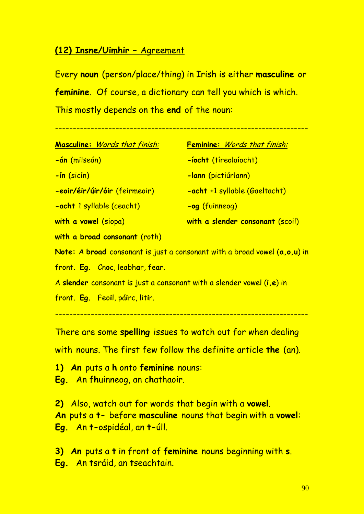# **(12) Insne/Uimhir –** Agreement

Every **noun** (person/place/thing) in Irish is either **masculine** or **feminine**. Of course, a dictionary can tell you which is which. This mostly depends on the **end** of the noun:

-----------------------------------------------------------------------

| <b>Masculine:</b> Words that finish: | <b>Feminine:</b> Words that finish: |  |
|--------------------------------------|-------------------------------------|--|
| -án (milseán)                        | <u>-íocht (tíreolaíocht)</u>        |  |
| <u>-ín (sicín)</u>                   | -lann (pictiúrlann)                 |  |
| -eoir/éir/úir/óir (feirmeoir)        | -acht +1 syllable (Gaeltacht)       |  |
| <b>-acht</b> 1 syllable (ceacht)     | -og (fuinneog)                      |  |
| with a vowel (siopa)                 | with a slender consonant (scoil)    |  |

**with a broad consonant** (roth)

**Note:** A **broad** consonant is just a consonant with a broad vowel (**a,o,u**) in front. **Eg.** Cn**o**c, leabh**a**r, fe**a**r.

A **slender** consonant is just a consonant with a slender vowel (**i,e**) in

front. **Eg.** Feo**i**l, pá**i**rc, lit**i**r.

-----------------------------------------------------------------------

There are some **spelling** issues to watch out for when dealing with nouns. The first few follow the definite article **the** (an).

**1) An** puts a **h** onto **feminine** nouns:

**Eg.** An f**h**uinneog, an c**h**athaoir.

**2)** Also, watch out for words that begin with a **vowel**. **An** puts a **t-** before **masculine** nouns that begin with a **vowel**: **Eg.** An **t-**ospidéal, an **t-**úll.

**3) An** puts a **t** in front of **feminine** nouns beginning with **s**. **Eg.** An **t**sráid, an **t**seachtain.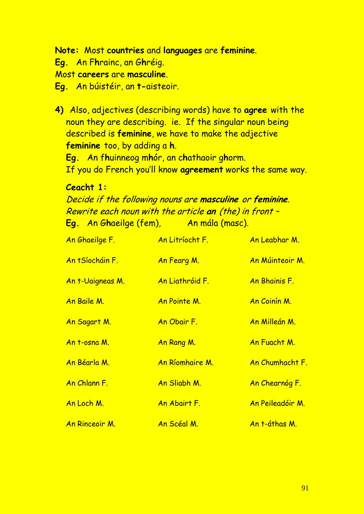## **Note:** Most **countries** and **languages** are **feminine**.

**Eg.** An F**h**rainc, an G**h**réig.

Most **careers** are **masculine**.

**Eg.** An búistéir, an **t-**aisteoir.

**4)** Also, adjectives (describing words) have to **agree** with the noun they are describing. ie. If the singular noun being described is **feminine**, we have to make the adjective **feminine** too, by adding a **h**.

**Eg.** An f**h**uinneog m**h**ór, an c**h**athaoir g**h**orm.

If you do French you'll know **agreement** works the same way.

## **Ceacht 1:**

Decide if the following nouns are **masculine** or **feminine**. Rewrite each noun with the article **an** (the) in front – **Eg.** An G**h**aeilge (fem), An mála (masc).

| An Ghaeilge F.         | An Litríocht F. | An Leabhar M.        |
|------------------------|-----------------|----------------------|
| <u>An tSíocháin F.</u> | An Fearg M.     | An Múinteoir M.      |
| An t-Uaigneas M.       | An Liathróid F. | An Bhainis F.        |
| An Baile M.            | An Pointe M.    | An Coinín M.         |
| An Sagart M.           | An Obair F.     | <u>An Milleán M.</u> |
| An t-osna M.           | An Rang M.      | An Fuacht M.         |
| An Béarla M.           | An Ríomhaire M. | An Chumhacht F.      |
| An Chlann F.           | An Sliabh M.    | An Chearnóg F.       |
| <u>An Loch M.</u>      | An Abairt F.    | An Peileadóir M.     |
| An Rinceoir M.         | An Scéal M.     | An t-áthas M.        |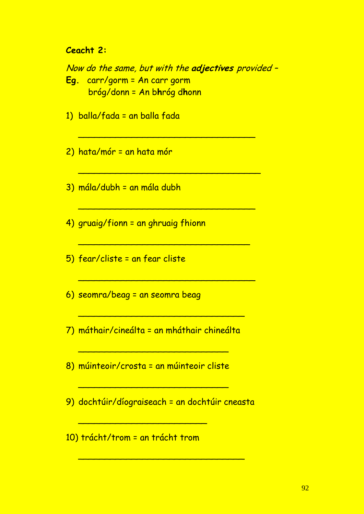### **Ceacht 2:**

Now do the same, but with the adjectives provided -Eg. carr/gorm = An carr gorm bróg/donn = An bhróg dhonn

- 1) balla/fada = an balla fada
- 2) hata/mór = an hata mór
- 3) mála/dubh = an mála dubh
- 4) gruaig/fionn = an ghruaig fhionn
- 5) fear/cliste = an fear cliste
- 6) seomra/beag = an seomra beag
- 7) máthair/cineálta = an mháthair chineálta
- 8) múinteoir/crosta = an múinteoir cliste
- 9) dochtúir/díograiseach = an dochtúir cneasta
- 10) trácht/trom = an trácht trom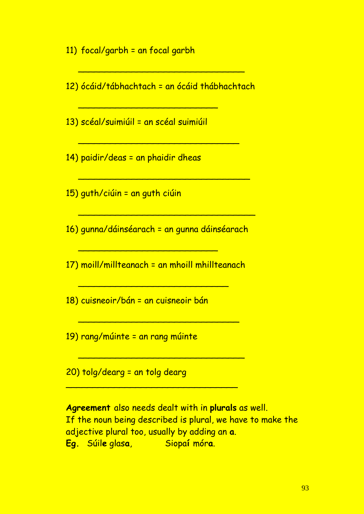11)  $focal/garbh = an focal garbh$ 

12) ócáid/tábhachtach = an ócáid thábhachtach

13) scéal/suimiúil = an scéal suimiúil

14) paidir/deas = an phaidir dheas

15) guth/ciúin = an guth ciúin

16) gunna/dáinséarach = an gunna dáinséarach

17) moill/millteanach = an mhoill mhillteanach

18) cuisneoir/bán = an cuisneoir bán

19) rang/múinte = an rang múinte

20) tolg/dearg = an tolg dearg

Agreement also needs dealt with in plurals as well. If the noun being described is plural, we have to make the adjective plural too, usually by adding an a. Eg. Súile glasa. <u>Siopaí móra.</u>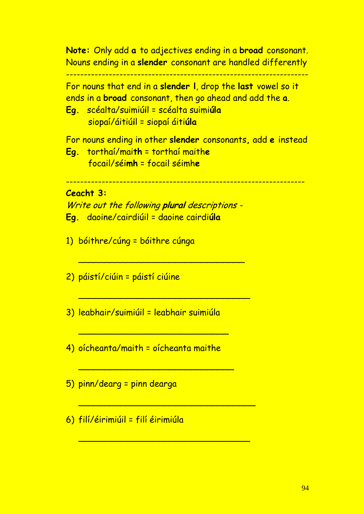**Note:** Only add **a** to adjectives ending in a **broad** consonant. Nouns ending in a **slender** consonant are handled differently

--------------------------------------------------------------------

For nouns that end in a **slender l**, drop the **last** vowel so it ends in a **broad** consonant, then go ahead and add the **a**.

**Eg.** scéalta/suimiú**i**l = scéalta suimi**úla** siopaí/áitiú**i**l = siopaí áiti**úla**

For nouns ending in other **slender** consonants**,** add **e** instead

**Eg.** torthaí/mai**th** = torthaí maith**e** focail/séi**mh** = focail séimh**e**

-------------------------------------------------------------------

### **Ceacht 3:**

Write out the following **plural** descriptions - **Eg.** daoine/cairdiúil = daoine cairdi**úla**

\_\_\_\_\_\_\_\_\_\_\_\_\_\_\_\_\_\_\_\_\_\_\_\_\_\_\_\_\_\_\_

\_\_\_\_\_\_\_\_\_\_\_\_\_\_\_\_\_\_\_\_\_\_\_\_\_\_\_\_\_\_\_\_

1) bóithre/cúng = bóithre cúnga

2) páistí/ciúin = páistí ciúine

3) leabhair/suimiúil = leabhair suimiúla

4) oícheanta/maith = oícheanta maithe

\_\_\_\_\_\_\_\_\_\_\_\_\_\_\_\_\_\_\_\_\_\_\_\_\_\_\_\_

\_\_\_\_\_\_\_\_\_\_\_\_\_\_\_\_\_\_\_\_\_\_\_\_\_\_\_\_\_

\_\_\_\_\_\_\_\_\_\_\_\_\_\_\_\_\_\_\_\_\_\_\_\_\_\_\_\_\_\_\_\_\_

\_\_\_\_\_\_\_\_\_\_\_\_\_\_\_\_\_\_\_\_\_\_\_\_\_\_\_\_\_\_\_\_

- 5) pinn/dearg = pinn dearga
- 6) filí/éirimiúil = filí éirimiúla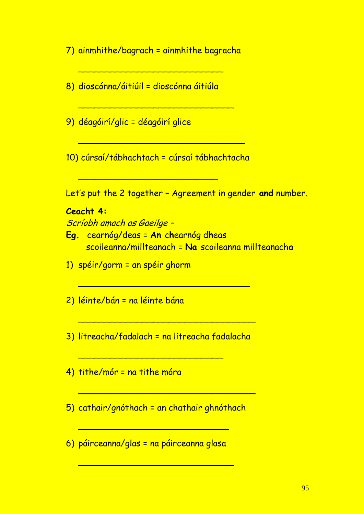7) ainmhithe/bagrach = ainmhithe bagracha

\_\_\_\_\_\_\_\_\_\_\_\_\_\_\_\_\_\_\_\_\_\_\_\_\_\_\_

- 8) dioscónna/áitiúil = dioscónna áitiúla
- 9) déagóirí/glic = déagóirí glice

10) cúrsaí/tábhachtach = cúrsaí tábhachtacha

\_\_\_\_\_\_\_\_\_\_\_\_\_\_\_\_\_\_\_\_\_\_\_\_\_\_

\_\_\_\_\_\_\_\_\_\_\_\_\_\_\_\_\_\_\_\_\_\_\_\_\_\_\_\_\_\_\_

\_\_\_\_\_\_\_\_\_\_\_\_\_\_\_\_\_\_\_\_\_\_\_\_\_\_\_\_\_

Let's put the 2 together – Agreement in gender **and** number.

#### **Ceacht 4:**

Scríobh amach as Gaeilge –

- **Eg.** cearnóg/deas = **An** c**h**earnóg d**h**eas scoileanna/millteanach = **Na** scoileanna millteanach**a**
- 1) spéir/gorm = an spéir ghorm
- 2) léinte/bán = na léinte bána
- 3) litreacha/fadalach = na litreacha fadalacha

\_\_\_\_\_\_\_\_\_\_\_\_\_\_\_\_\_\_\_\_\_\_\_\_\_\_\_

\_\_\_\_\_\_\_\_\_\_\_\_\_\_\_\_\_\_\_\_\_\_\_\_\_\_\_\_\_\_\_\_

\_\_\_\_\_\_\_\_\_\_\_\_\_\_\_\_\_\_\_\_\_\_\_\_\_\_\_\_\_\_\_\_\_

- 4) tithe/mór = na tithe móra
- 5) cathair/gnóthach = an chathair ghnóthach

\_\_\_\_\_\_\_\_\_\_\_\_\_\_\_\_\_\_\_\_\_\_\_\_\_\_\_\_

\_\_\_\_\_\_\_\_\_\_\_\_\_\_\_\_\_\_\_\_\_\_\_\_\_\_\_\_\_

\_\_\_\_\_\_\_\_\_\_\_\_\_\_\_\_\_\_\_\_\_\_\_\_\_\_\_\_\_\_\_\_\_

6) páirceanna/glas = na páirceanna glasa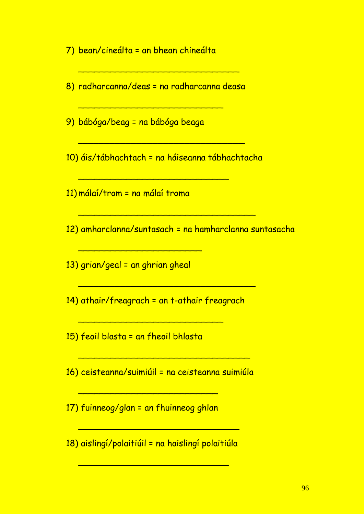7) bean/cineálta = an bhean chineálta

8) radharcanna/deas = na radharcanna deasa

\_\_\_\_\_\_\_\_\_\_\_\_\_\_\_\_\_\_\_\_\_\_\_\_\_\_\_

\_\_\_\_\_\_\_\_\_\_\_\_\_\_\_\_\_\_\_\_\_\_\_\_\_\_\_\_\_\_

9) bábóga/beag = na bábóga beaga

10) áis/tábhachtach = na háiseanna tábhachtacha

\_\_\_\_\_\_\_\_\_\_\_\_\_\_\_\_\_\_\_\_\_\_\_\_\_\_\_\_\_\_\_\_\_

\_\_\_\_\_\_\_\_\_\_\_\_\_\_\_\_\_\_\_\_\_\_\_\_\_\_\_\_\_\_\_\_\_

\_\_\_\_\_\_\_\_\_\_\_\_\_\_\_\_\_\_\_\_\_\_\_\_\_\_\_\_\_\_\_

\_\_\_\_\_\_\_\_\_\_\_\_\_\_\_\_\_\_\_\_\_\_\_\_\_\_\_\_

11) málaí/trom = na málaí troma

12) amharclanna/suntasach = na hamharclanna suntasacha

13) grian/geal = an ghrian gheal

\_\_\_\_\_\_\_\_\_\_\_\_\_\_\_\_\_\_\_\_\_\_\_

14) athair/freagrach = an t-athair freagrach

\_\_\_\_\_\_\_\_\_\_\_\_\_\_\_\_\_\_\_\_\_\_\_\_\_\_\_

15) feoil blasta = an fheoil bhlasta

16) ceisteanna/suimiúil = na ceisteanna suimiúla

\_\_\_\_\_\_\_\_\_\_\_\_\_\_\_\_\_\_\_\_\_\_\_\_\_\_\_\_\_\_\_\_

17) fuinneog/glan = an fhuinneog ghlan

\_\_\_\_\_\_\_\_\_\_\_\_\_\_\_\_\_\_\_\_\_\_\_\_\_\_

18) aislingí/polaitiúil = na haislingí polaitiúla

\_\_\_\_\_\_\_\_\_\_\_\_\_\_\_\_\_\_\_\_\_\_\_\_\_\_\_\_

\_\_\_\_\_\_\_\_\_\_\_\_\_\_\_\_\_\_\_\_\_\_\_\_\_\_\_\_\_\_